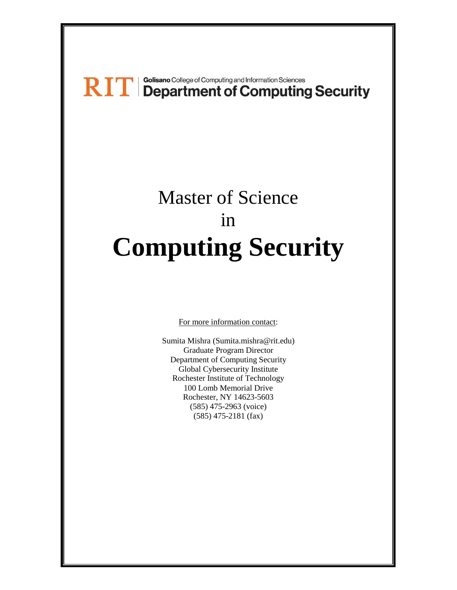# RIT | Golisano College of Computing and Information Sciences<br>
RIT | Department of Computing Security

## Master of Science in **Computing Security**

For more information contact:

Sumita Mishra (Sumita.mishra@rit.edu) Graduate Program Director Department of Computing Security Global Cybersecurity Institute Rochester Institute of Technology 100 Lomb Memorial Drive Rochester, NY 14623-5603 (585) 475-2963 (voice) (585) 475-2181 (fax)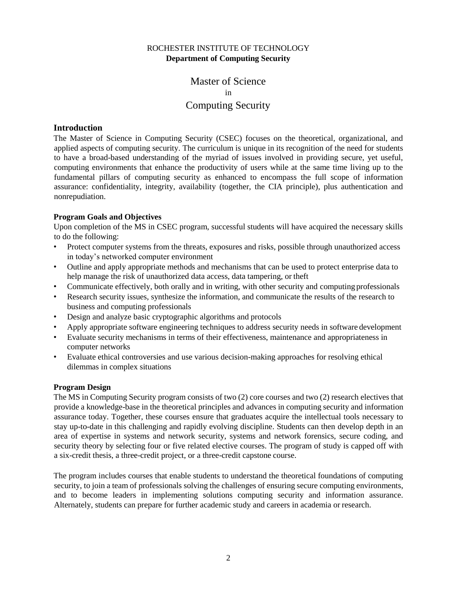## ROCHESTER INSTITUTE OF TECHNOLOGY **Department of Computing Security**

Master of Science in Computing Security

#### **Introduction**

The Master of Science in Computing Security (CSEC) focuses on the theoretical, organizational, and applied aspects of computing security. The curriculum is unique in its recognition of the need for students to have a broad-based understanding of the myriad of issues involved in providing secure, yet useful, computing environments that enhance the productivity of users while at the same time living up to the fundamental pillars of computing security as enhanced to encompass the full scope of information assurance: confidentiality, integrity, availability (together, the CIA principle), plus authentication and nonrepudiation.

#### **Program Goals and Objectives**

Upon completion of the MS in CSEC program, successful students will have acquired the necessary skills to do the following:

- Protect computer systems from the threats, exposures and risks, possible through unauthorized access in today's networked computer environment
- Outline and apply appropriate methods and mechanisms that can be used to protect enterprise data to help manage the risk of unauthorized data access, data tampering, or theft
- Communicate effectively, both orally and in writing, with other security and computing professionals
- Research security issues, synthesize the information, and communicate the results of the research to business and computing professionals
- Design and analyze basic cryptographic algorithms and protocols
- Apply appropriate software engineering techniques to address security needs in software development
- Evaluate security mechanisms in terms of their effectiveness, maintenance and appropriateness in computer networks
- Evaluate ethical controversies and use various decision-making approaches for resolving ethical dilemmas in complex situations

#### **Program Design**

The MS in Computing Security program consists of two (2) core courses and two (2) research electives that provide a knowledge-base in the theoretical principles and advances in computing security and information assurance today. Together, these courses ensure that graduates acquire the intellectual tools necessary to stay up-to-date in this challenging and rapidly evolving discipline. Students can then develop depth in an area of expertise in systems and network security, systems and network forensics, secure coding, and security theory by selecting four or five related elective courses. The program of study is capped off with a six-credit thesis, a three-credit project, or a three-credit capstone course.

The program includes courses that enable students to understand the theoretical foundations of computing security, to join a team of professionals solving the challenges of ensuring secure computing environments, and to become leaders in implementing solutions computing security and information assurance. Alternately, students can prepare for further academic study and careers in academia or research.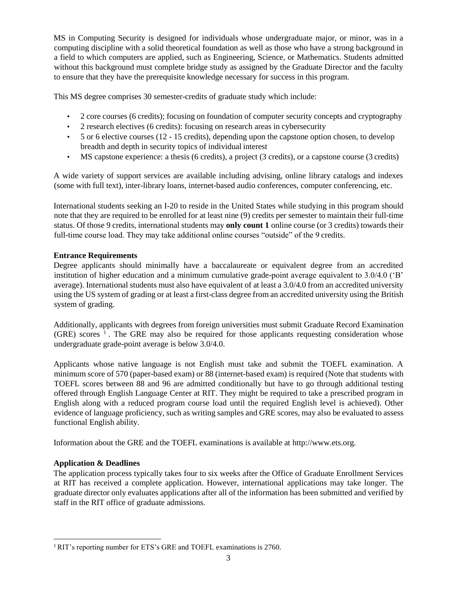MS in Computing Security is designed for individuals whose undergraduate major, or minor, was in a computing discipline with a solid theoretical foundation as well as those who have a strong background in a field to which computers are applied, such as Engineering, Science, or Mathematics. Students admitted without this background must complete bridge study as assigned by the Graduate Director and the faculty to ensure that they have the prerequisite knowledge necessary for success in this program.

This MS degree comprises 30 semester-credits of graduate study which include:

- 2 core courses (6 credits); focusing on foundation of computer security concepts and cryptography
- 2 research electives (6 credits): focusing on research areas in cybersecurity
- $\cdot$  5 or 6 elective courses (12 15 credits), depending upon the capstone option chosen, to develop breadth and depth in security topics of individual interest
- MS capstone experience: a thesis (6 credits), a project (3 credits), or a capstone course (3 credits)

A wide variety of support services are available including advising, online library catalogs and indexes (some with full text), inter-library loans, internet-based audio conferences, computer conferencing, etc.

International students seeking an I-20 to reside in the United States while studying in this program should note that they are required to be enrolled for at least nine (9) credits per semester to maintain their full-time status. Of those 9 credits, international students may **only count 1** online course (or 3 credits) towards their full-time course load. They may take additional online courses "outside" of the 9 credits.

## **Entrance Requirements**

Degree applicants should minimally have a baccalaureate or equivalent degree from an accredited institution of higher education and a minimum cumulative grade-point average equivalent to 3.0/4.0 ('B' average). International students must also have equivalent of at least a 3.0/4.0 from an accredited university using the US system of grading or at least a first-class degree from an accredited university using the British system of grading.

Additionally, applicants with degrees from foreign universities must submit Graduate Record Examination (GRE) scores  $\frac{1}{1}$ . The GRE may also be required for those applicants requesting consideration whose undergraduate grade-point average is below 3.0/4.0.

Applicants whose native language is not English must take and submit the TOEFL examination. A minimum score of 570 (paper-based exam) or 88 (internet-based exam) is required (Note that students with TOEFL scores between 88 and 96 are admitted conditionally but have to go through additional testing offered through English Language Center at RIT. They might be required to take a prescribed program in English along with a reduced program course load until the required English level is achieved). Other evidence of language proficiency, such as writing samples and GRE scores, may also be evaluated to assess functional English ability.

Information about the GRE and the TOEFL examinations is available a[t http://www.ets.org.](http://www.ets.org/)

## **Application & Deadlines**

The application process typically takes four to six weeks after the Office of Graduate Enrollment Services at RIT has received a complete application. However, international applications may take longer. The graduate director only evaluates applications after all of the information has been submitted and verified by staff in the RIT office of graduate admissions.

<sup>&</sup>lt;sup>1</sup> RIT's reporting number for ETS's GRE and TOEFL examinations is 2760.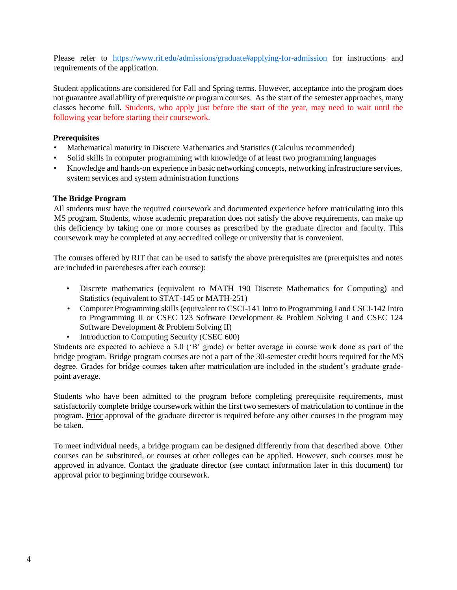Please refer to <https://www.rit.edu/admissions/graduate#applying-for-admission> for instructions and requirements of the application.

Student applications are considered for Fall and Spring terms. However, acceptance into the program does not guarantee availability of prerequisite or program courses. As the start of the semester approaches, many classes become full. Students, who apply just before the start of the year, may need to wait until the following year before starting their coursework.

#### **Prerequisites**

- Mathematical maturity in Discrete Mathematics and Statistics (Calculus recommended)
- Solid skills in computer programming with knowledge of at least two programming languages
- Knowledge and hands-on experience in basic networking concepts, networking infrastructure services, system services and system administration functions

#### **The Bridge Program**

All students must have the required coursework and documented experience before matriculating into this MS program. Students, whose academic preparation does not satisfy the above requirements, can make up this deficiency by taking one or more courses as prescribed by the graduate director and faculty. This coursework may be completed at any accredited college or university that is convenient.

The courses offered by RIT that can be used to satisfy the above prerequisites are (prerequisites and notes are included in parentheses after each course):

- Discrete mathematics (equivalent to MATH 190 Discrete Mathematics for Computing) and Statistics (equivalent to STAT-145 or MATH-251)
- Computer Programming skills (equivalent to CSCI-141 Intro to Programming I and CSCI-142 Intro to Programming II or CSEC 123 Software Development & Problem Solving I and CSEC 124 Software Development & Problem Solving II)
- Introduction to Computing Security (CSEC 600)

Students are expected to achieve a 3.0 ('B' grade) or better average in course work done as part of the bridge program. Bridge program courses are not a part of the 30-semester credit hours required for the MS degree. Grades for bridge courses taken after matriculation are included in the student's graduate gradepoint average.

Students who have been admitted to the program before completing prerequisite requirements, must satisfactorily complete bridge coursework within the first two semesters of matriculation to continue in the program. Prior approval of the graduate director is required before any other courses in the program may be taken.

To meet individual needs, a bridge program can be designed differently from that described above. Other courses can be substituted, or courses at other colleges can be applied. However, such courses must be approved in advance. Contact the graduate director (see contact information later in this document) for approval prior to beginning bridge coursework.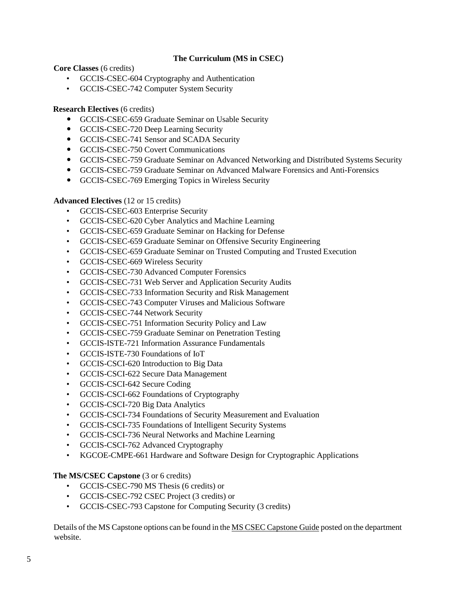## **The Curriculum (MS in CSEC)**

**Core Classes** (6 credits)

- GCCIS-CSEC-604 Cryptography and Authentication
- GCCIS-CSEC-742 Computer System Security

#### **Research Electives** (6 credits)

- GCCIS-CSEC-659 Graduate Seminar on Usable Security
- GCCIS-CSEC-720 Deep Learning Security
- GCCIS-CSEC-741 Sensor and SCADA Security
- GCCIS-CSEC-750 Covert Communications
- GCCIS-CSEC-759 Graduate Seminar on Advanced Networking and Distributed Systems Security
- GCCIS-CSEC-759 Graduate Seminar on Advanced Malware Forensics and Anti-Forensics
- GCCIS-CSEC-769 Emerging Topics in Wireless Security

#### **Advanced Electives** (12 or 15 credits)

- GCCIS-CSEC-603 Enterprise Security
- GCCIS-CSEC-620 Cyber Analytics and Machine Learning
- GCCIS-CSEC-659 Graduate Seminar on Hacking for Defense
- GCCIS-CSEC-659 Graduate Seminar on Offensive Security Engineering
- GCCIS-CSEC-659 Graduate Seminar on Trusted Computing and Trusted Execution
- GCCIS-CSEC-669 Wireless Security
- GCCIS-CSEC-730 Advanced Computer Forensics
- GCCIS-CSEC-731 Web Server and Application Security Audits
- GCCIS-CSEC-733 Information Security and Risk Management
- GCCIS-CSEC-743 Computer Viruses and Malicious Software
- GCCIS-CSEC-744 Network Security
- GCCIS-CSEC-751 Information Security Policy and Law
- GCCIS-CSEC-759 Graduate Seminar on Penetration Testing
- GCCIS-ISTE-721 Information Assurance Fundamentals
- GCCIS-ISTE-730 Foundations of IoT
- GCCIS-CSCI-620 Introduction to Big Data
- GCCIS-CSCI-622 Secure Data Management
- GCCIS-CSCI-642 Secure Coding
- GCCIS-CSCI-662 Foundations of Cryptography
- GCCIS-CSCI-720 Big Data Analytics
- GCCIS-CSCI-734 Foundations of Security Measurement and Evaluation
- GCCIS-CSCI-735 Foundations of Intelligent Security Systems
- GCCIS-CSCI-736 Neural Networks and Machine Learning
- GCCIS-CSCI-762 Advanced Cryptography
- KGCOE-CMPE-661 Hardware and Software Design for Cryptographic Applications

#### **The MS/CSEC Capstone** (3 or 6 credits)

- GCCIS-CSEC-790 MS Thesis (6 credits) or
- GCCIS-CSEC-792 CSEC Project (3 credits) or
- GCCIS-CSEC-793 Capstone for Computing Security (3 credits)

Details of the MS Capstone options can be found in the MS CSEC Capstone Guide posted on the department website.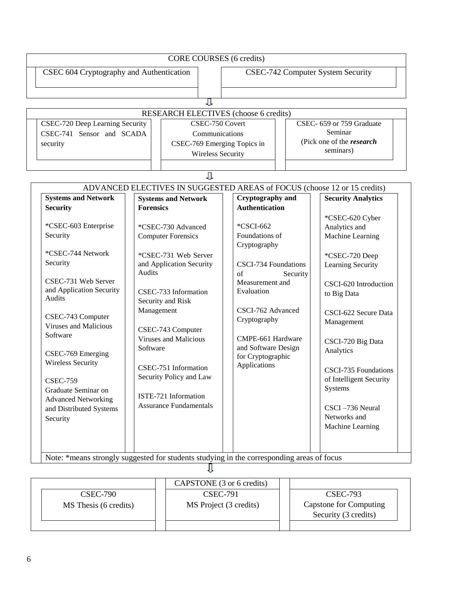| CORE COURSES (6 credits)                     |  |                                                         |                                   |  |                                  |  |
|----------------------------------------------|--|---------------------------------------------------------|-----------------------------------|--|----------------------------------|--|
| CSEC 604 Cryptography and Authentication     |  |                                                         | CSEC-742 Computer System Security |  |                                  |  |
|                                              |  |                                                         |                                   |  |                                  |  |
| <b>RESEARCH ELECTIVES</b> (choose 6 credits) |  |                                                         |                                   |  |                                  |  |
| CSEC-720 Deep Learning Security              |  | CSEC-750 Covert                                         |                                   |  | CSEC- 659 or 759 Graduate        |  |
| CSEC-741 Sensor and SCADA                    |  | Communications                                          |                                   |  | Seminar                          |  |
| security                                     |  | CSEC-769 Emerging Topics in<br><b>Wireless Security</b> |                                   |  | (Pick one of the <i>research</i> |  |
|                                              |  |                                                         |                                   |  | seminars)                        |  |

| <b>Systems and Network</b>   | <b>Systems and Network</b>                | <b>Cryptography and</b>                       | <b>Security Analytics</b> |  |
|------------------------------|-------------------------------------------|-----------------------------------------------|---------------------------|--|
| <b>Security</b>              | <b>Forensics</b>                          | <b>Authentication</b>                         |                           |  |
|                              |                                           |                                               | *CSEC-620 Cyber           |  |
| *CSEC-603 Enterprise         | *CSEC-730 Advanced                        | *CSCI-662                                     | Analytics and             |  |
| Security                     | <b>Computer Forensics</b>                 | Foundations of<br>Cryptography                | Machine Learning          |  |
| *CSEC-744 Network            | *CSEC-731 Web Server                      |                                               | *CSEC-720 Deep            |  |
| Security                     | and Application Security<br><b>Audits</b> | <b>CSCI-734 Foundations</b><br>of<br>Security | Learning Security         |  |
| CSEC-731 Web Server          |                                           | Measurement and                               | CSCI-620 Introduction     |  |
| and Application Security     | CSEC-733 Information                      | Evaluation                                    | to Big Data               |  |
| <b>Audits</b>                | Security and Risk                         |                                               |                           |  |
|                              | Management                                | CSCI-762 Advanced                             | CSCI-622 Secure Data      |  |
| CSEC-743 Computer            |                                           | Cryptography                                  | Management                |  |
| <b>Viruses and Malicious</b> | CSEC-743 Computer                         |                                               |                           |  |
| Software                     | <b>Viruses and Malicious</b>              | CMPE-661 Hardware                             | CSCI-720 Big Data         |  |
| CSEC-769 Emerging            | Software                                  | and Software Design                           | Analytics                 |  |
| <b>Wireless Security</b>     |                                           | for Cryptographic                             |                           |  |
|                              | CSEC-751 Information                      | Applications                                  | CSCI-735 Foundations      |  |
| <b>CSEC-759</b>              | Security Policy and Law                   |                                               | of Intelligent Security   |  |
| Graduate Seminar on          |                                           |                                               | Systems                   |  |
| <b>Advanced Networking</b>   | ISTE-721 Information                      |                                               |                           |  |
| and Distributed Systems      | <b>Assurance Fundamentals</b>             |                                               | CSCI-736 Neural           |  |
| Security                     |                                           |                                               | Networks and              |  |
|                              |                                           |                                               | Machine Learning          |  |

| <b>CSEC-790</b><br>MS Thesis (6 credits) | CAPSTONE (3 or 6 credits)<br><b>CSEC-791</b><br>MS Project (3 credits) | <b>CSEC-793</b><br>Capstone for Computing<br>Security (3 credits) |  |
|------------------------------------------|------------------------------------------------------------------------|-------------------------------------------------------------------|--|
|                                          |                                                                        |                                                                   |  |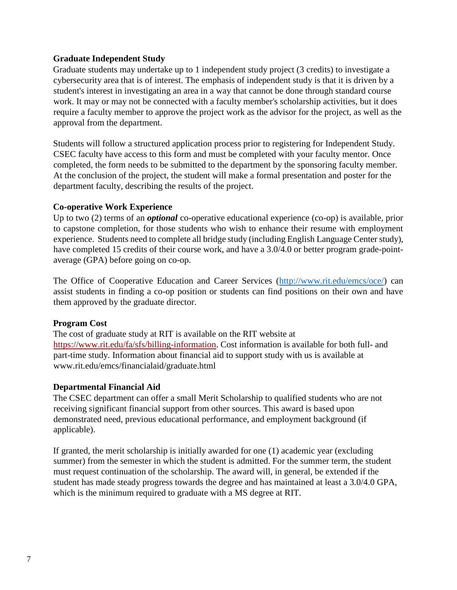## **Graduate Independent Study**

Graduate students may undertake up to 1 independent study project (3 credits) to investigate a cybersecurity area that is of interest. The emphasis of independent study is that it is driven by a student's interest in investigating an area in a way that cannot be done through standard course work. It may or may not be connected with a faculty member's scholarship activities, but it does require a faculty member to approve the project work as the advisor for the project, as well as the approval from the department.

Students will follow a structured application process prior to registering for Independent Study. CSEC faculty have access to this form and must be completed with your faculty mentor. Once completed, the form needs to be submitted to the department by the sponsoring faculty member. At the conclusion of the project, the student will make a formal presentation and poster for the department faculty, describing the results of the project.

## **Co-operative Work Experience**

Up to two (2) terms of an *optional* co-operative educational experience (co-op) is available, prior to capstone completion, for those students who wish to enhance their resume with employment experience. Students need to complete all bridge study (including English Language Center study), have completed 15 credits of their course work, and have a 3.0/4.0 or better program grade-pointaverage (GPA) before going on co-op.

The Office of Cooperative Education and Career Services [\(http://www.rit.edu/emcs/oce/\)](http://www.rit.edu/emcs/oce/) can assist students in finding a co-op position or students can find positions on their own and have them approved by the graduate director.

## **Program Cost**

The cost of graduate study at RIT is available on the RIT website at https:[//www.rit.edu/fa/sfs/billing-information.](http://www.rit.edu/fa/sfs/billing-information) Cost information is available for both full- and part-time study. Information about financial aid to support study with us is available at [www.rit.edu/emcs/financialaid/graduate.html](http://www.rit.edu/emcs/financialaid/graduate.html)

## **Departmental Financial Aid**

The CSEC department can offer a small Merit Scholarship to qualified students who are not receiving significant financial support from other sources. This award is based upon demonstrated need, previous educational performance, and employment background (if applicable).

If granted, the merit scholarship is initially awarded for one (1) academic year (excluding summer) from the semester in which the student is admitted. For the summer term, the student must request continuation of the scholarship. The award will, in general, be extended if the student has made steady progress towards the degree and has maintained at least a 3.0/4.0 GPA, which is the minimum required to graduate with a MS degree at RIT.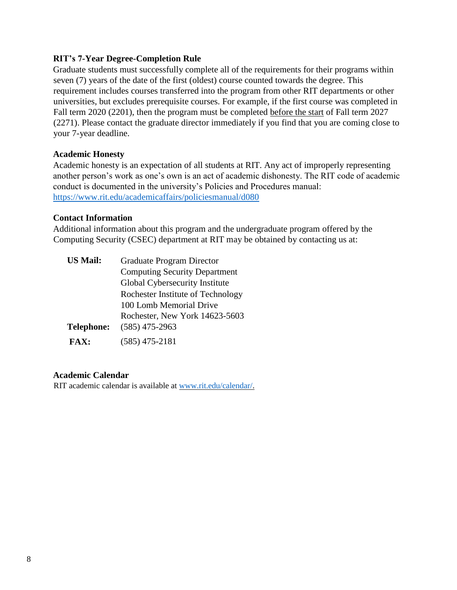## **RIT's 7-Year Degree-Completion Rule**

Graduate students must successfully complete all of the requirements for their programs within seven (7) years of the date of the first (oldest) course counted towards the degree. This requirement includes courses transferred into the program from other RIT departments or other universities, but excludes prerequisite courses. For example, if the first course was completed in Fall term 2020 (2201), then the program must be completed before the start of Fall term 2027 (2271). Please contact the graduate director immediately if you find that you are coming close to your 7-year deadline.

## **Academic Honesty**

Academic honesty is an expectation of all students at RIT. Any act of improperly representing another person's work as one's own is an act of academic dishonesty. The RIT code of academic conduct is documented in the university's Policies and Procedures manual: <https://www.rit.edu/academicaffairs/policiesmanual/d080>

## **Contact Information**

Additional information about this program and the undergraduate program offered by the Computing Security (CSEC) department at RIT may be obtained by contacting us at:

| <b>US Mail:</b>   | <b>Graduate Program Director</b>     |  |  |  |  |  |  |
|-------------------|--------------------------------------|--|--|--|--|--|--|
|                   | <b>Computing Security Department</b> |  |  |  |  |  |  |
|                   | Global Cybersecurity Institute       |  |  |  |  |  |  |
|                   | Rochester Institute of Technology    |  |  |  |  |  |  |
|                   | 100 Lomb Memorial Drive              |  |  |  |  |  |  |
|                   | Rochester, New York 14623-5603       |  |  |  |  |  |  |
| <b>Telephone:</b> | $(585)$ 475-2963                     |  |  |  |  |  |  |
| <b>FAX:</b>       | $(585)$ 475-2181                     |  |  |  |  |  |  |

## **Academic Calendar**

RIT academic calendar is available at [www.rit.edu/calendar/.](http://www.rit.edu/calendar/)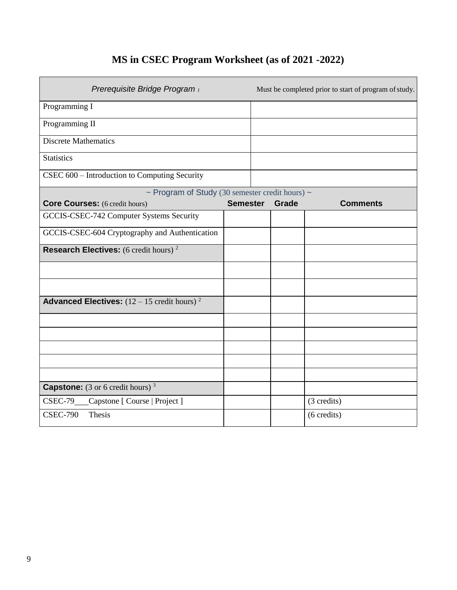## **MS in CSEC Program Worksheet (as of 2021 -2022)**

| Prerequisite Bridge Program i                                 |                 |       | Must be completed prior to start of program of study. |
|---------------------------------------------------------------|-----------------|-------|-------------------------------------------------------|
| Programming I                                                 |                 |       |                                                       |
| Programming II                                                |                 |       |                                                       |
| <b>Discrete Mathematics</b>                                   |                 |       |                                                       |
| <b>Statistics</b>                                             |                 |       |                                                       |
| CSEC 600 - Introduction to Computing Security                 |                 |       |                                                       |
| ~ Program of Study (30 semester credit hours) ~               |                 |       |                                                       |
| <b>Core Courses:</b> (6 credit hours)                         | <b>Semester</b> | Grade | <b>Comments</b>                                       |
| GCCIS-CSEC-742 Computer Systems Security                      |                 |       |                                                       |
| GCCIS-CSEC-604 Cryptography and Authentication                |                 |       |                                                       |
| <b>Research Electives:</b> (6 credit hours) <sup>2</sup>      |                 |       |                                                       |
|                                                               |                 |       |                                                       |
|                                                               |                 |       |                                                       |
| <b>Advanced Electives:</b> $(12 - 15 \text{ credit hours})^2$ |                 |       |                                                       |
|                                                               |                 |       |                                                       |
|                                                               |                 |       |                                                       |
|                                                               |                 |       |                                                       |
|                                                               |                 |       |                                                       |
|                                                               |                 |       |                                                       |
| <b>Capstone:</b> (3 or 6 credit hours) $3$                    |                 |       |                                                       |
| CSEC-79 Capstone [Course   Project ]                          |                 |       | (3 credits)                                           |
| <b>CSEC-790</b><br>Thesis                                     |                 |       | $(6 \text{ credits})$                                 |